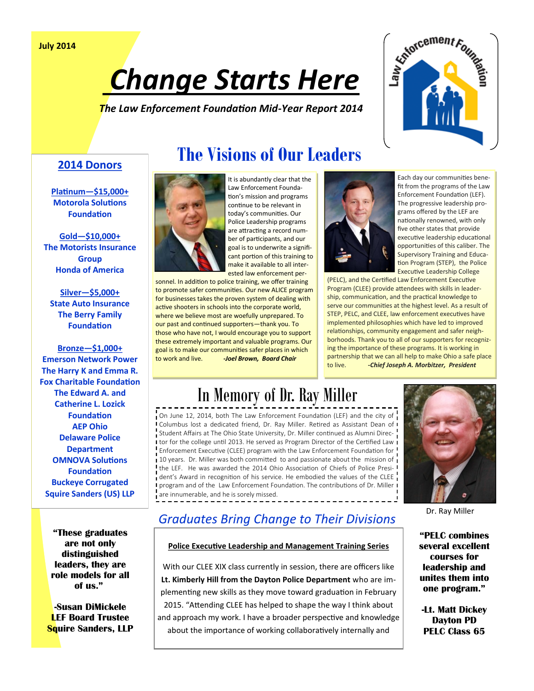# Change Starts Here

*The Law Enforcement Foundation Mid-Year Report 2014*



### **2014 Donors**

**Platinum—\$15,000+ Motorola Solutions Foundation**

**Gold—\$10,000+ The Motorists Insurance Group Honda of America** 

**Silver—\$5,000+ State Auto Insurance The Berry Family Foundation**

**Bronze—\$1,000+ Emerson Network Power The Harry K and Emma R. Fox Charitable Foundation The Edward A. and Catherine L. Lozick Foundation AEP Ohio Delaware Police Department OMNOVA Solutions Foundation Buckeye Corrugated Squire Sanders (US) LLP** 

> **"These graduates are not only distinguished leaders, they are role models for all of us."**

**-Susan DiMickele LEF Board Trustee Squire Sanders, LLP**

## **The Visions of Our Leaders**



It is abundantly clear that the Law Enforcement Foundation's mission and programs continue to be relevant in today's communities. Our Police Leadership programs are attracting a record number of participants, and our goal is to underwrite a significant portion of this training to make it available to all interested law enforcement per-

sonnel. In addition to police training, we offer training to promote safer communities. Our new ALICE program for businesses takes the proven system of dealing with active shooters in schools into the corporate world, where we believe most are woefully unprepared. To our past and continued supporters—thank you. To those who have not, I would encourage you to support these extremely important and valuable programs. Our goal is to make our communities safer places in which to work and live. *-Joel Brown, Board Chair*



Each day our communities benefit from the programs of the Law Enforcement Foundation (LEF). The progressive leadership programs offered by the LEF are nationally renowned, with only five other states that provide executive leadership educational opportunities of this caliber. The Supervisory Training and Education Program (STEP), the Police Executive Leadership College

(PELC), and the Certified Law Enforcement Executive Program (CLEE) provide attendees with skills in leadership, communication, and the practical knowledge to serve our communities at the highest level. As a result of STEP, PELC, and CLEE, law enforcement executives have implemented philosophies which have led to improved relationships, community engagement and safer neighborhoods. Thank you to all of our supporters for recognizing the importance of these programs. It is working in partnership that we can all help to make Ohio a safe place to live. *-Chief Joseph A. Morbitzer, President*

# In Memory of Dr. Ray Miller

On June 12, 2014, both The Law Enforcement Foundation (LEF) and the city of Columbus lost a dedicated friend, Dr. Ray Miller. Retired as Assistant Dean of Student Affairs at The Ohio State University, Dr. Miller continued as Alumni Direc-I tor for the college until 2013. He served as Program Director of the Certified Law **Enforcement Executive (CLEE) program with the Law Enforcement Foundation for** 10 years. Dr. Miller was both committed to and passionate about the mission of the LEF. He was awarded the 2014 Ohio Association of Chiefs of Police President's Award in recognition of his service. He embodied the values of the CLEE **program and of the Law Enforcement Foundation. The contributions of Dr. Miller I** are innumerable, and he is sorely missed.



Dr. Ray Miller

**"PELC combines several excellent courses for leadership and unites them into one program."**

**-Lt. Matt Dickey Dayton PD PELC Class 65**

## *Graduates Bring Change to Their Divisions*

#### **Police Executive Leadership and Management Training Series**

With our CLEE XIX class currently in session, there are officers like **Lt. Kimberly Hill from the Dayton Police Department** who are implementing new skills as they move toward graduation in February 2015. "Attending CLEE has helped to shape the way I think about and approach my work. I have a broader perspective and knowledge about the importance of working collaboratively internally and